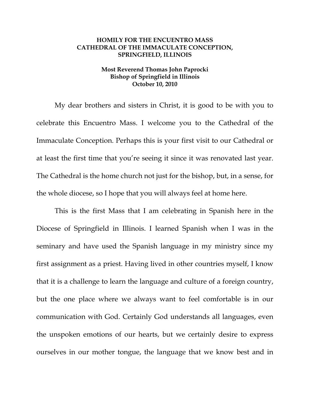## **HOMILY FOR THE ENCUENTRO MASS CATHEDRAL OF THE IMMACULATE CONCEPTION, SPRINGFIELD, ILLINOIS**

## **Most Reverend Thomas John Paprocki Bishop of Springfield in Illinois October 10, 2010**

My dear brothers and sisters in Christ, it is good to be with you to celebrate this Encuentro Mass. I welcome you to the Cathedral of the Immaculate Conception. Perhaps this is your first visit to our Cathedral or at least the first time that you're seeing it since it was renovated last year. The Cathedral is the home church not just for the bishop, but, in a sense, for the whole diocese, so I hope that you will always feel at home here.

This is the first Mass that I am celebrating in Spanish here in the Diocese of Springfield in Illinois. I learned Spanish when I was in the seminary and have used the Spanish language in my ministry since my first assignment as a priest. Having lived in other countries myself, I know that it is a challenge to learn the language and culture of a foreign country, but the one place where we always want to feel comfortable is in our communication with God. Certainly God understands all languages, even the unspoken emotions of our hearts, but we certainly desire to express ourselves in our mother tongue, the language that we know best and in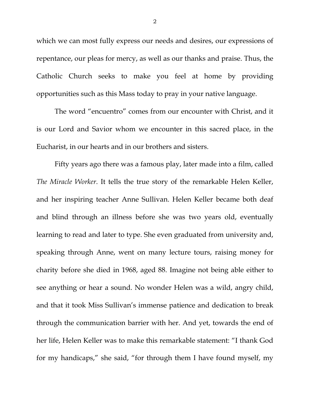which we can most fully express our needs and desires, our expressions of repentance, our pleas for mercy, as well as our thanks and praise. Thus, the Catholic Church seeks to make you feel at home by providing opportunities such as this Mass today to pray in your native language.

The word "encuentro" comes from our encounter with Christ, and it is our Lord and Savior whom we encounter in this sacred place, in the Eucharist, in our hearts and in our brothers and sisters.

Fifty years ago there was a famous play, later made into a film, called *The Miracle Worker*. It tells the true story of the remarkable Helen Keller, and her inspiring teacher Anne Sullivan. Helen Keller became both deaf and blind through an illness before she was two years old, eventually learning to read and later to type. She even graduated from university and, speaking through Anne, went on many lecture tours, raising money for charity before she died in 1968, aged 88. Imagine not being able either to see anything or hear a sound. No wonder Helen was a wild, angry child, and that it took Miss Sullivan's immense patience and dedication to break through the communication barrier with her. And yet, towards the end of her life, Helen Keller was to make this remarkable statement: "I thank God for my handicaps," she said, "for through them I have found myself, my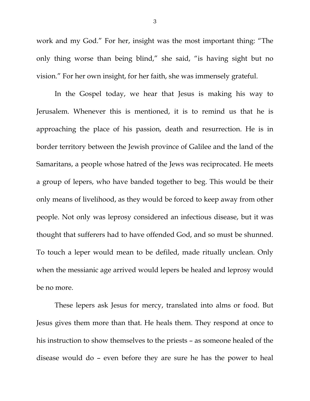work and my God." For her, insight was the most important thing: "The only thing worse than being blind," she said, "is having sight but no vision." For her own insight, for her faith, she was immensely grateful.

In the Gospel today, we hear that Jesus is making his way to Jerusalem. Whenever this is mentioned, it is to remind us that he is approaching the place of his passion, death and resurrection. He is in border territory between the Jewish province of Galilee and the land of the Samaritans, a people whose hatred of the Jews was reciprocated. He meets a group of lepers, who have banded together to beg. This would be their only means of livelihood, as they would be forced to keep away from other people. Not only was leprosy considered an infectious disease, but it was thought that sufferers had to have offended God, and so must be shunned. To touch a leper would mean to be defiled, made ritually unclean. Only when the messianic age arrived would lepers be healed and leprosy would be no more.

These lepers ask Jesus for mercy, translated into alms or food. But Jesus gives them more than that. He heals them. They respond at once to his instruction to show themselves to the priests – as someone healed of the disease would do – even before they are sure he has the power to heal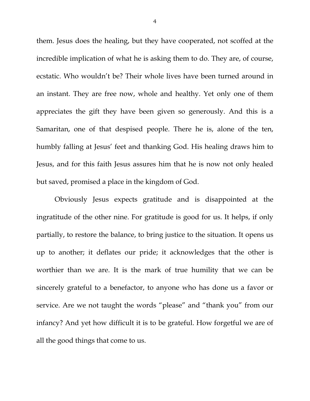them. Jesus does the healing, but they have cooperated, not scoffed at the incredible implication of what he is asking them to do. They are, of course, ecstatic. Who wouldn't be? Their whole lives have been turned around in an instant. They are free now, whole and healthy. Yet only one of them appreciates the gift they have been given so generously. And this is a Samaritan, one of that despised people. There he is, alone of the ten, humbly falling at Jesus' feet and thanking God. His healing draws him to Jesus, and for this faith Jesus assures him that he is now not only healed but saved, promised a place in the kingdom of God.

Obviously Jesus expects gratitude and is disappointed at the ingratitude of the other nine. For gratitude is good for us. It helps, if only partially, to restore the balance, to bring justice to the situation. It opens us up to another; it deflates our pride; it acknowledges that the other is worthier than we are. It is the mark of true humility that we can be sincerely grateful to a benefactor, to anyone who has done us a favor or service. Are we not taught the words "please" and "thank you" from our infancy? And yet how difficult it is to be grateful. How forgetful we are of all the good things that come to us.